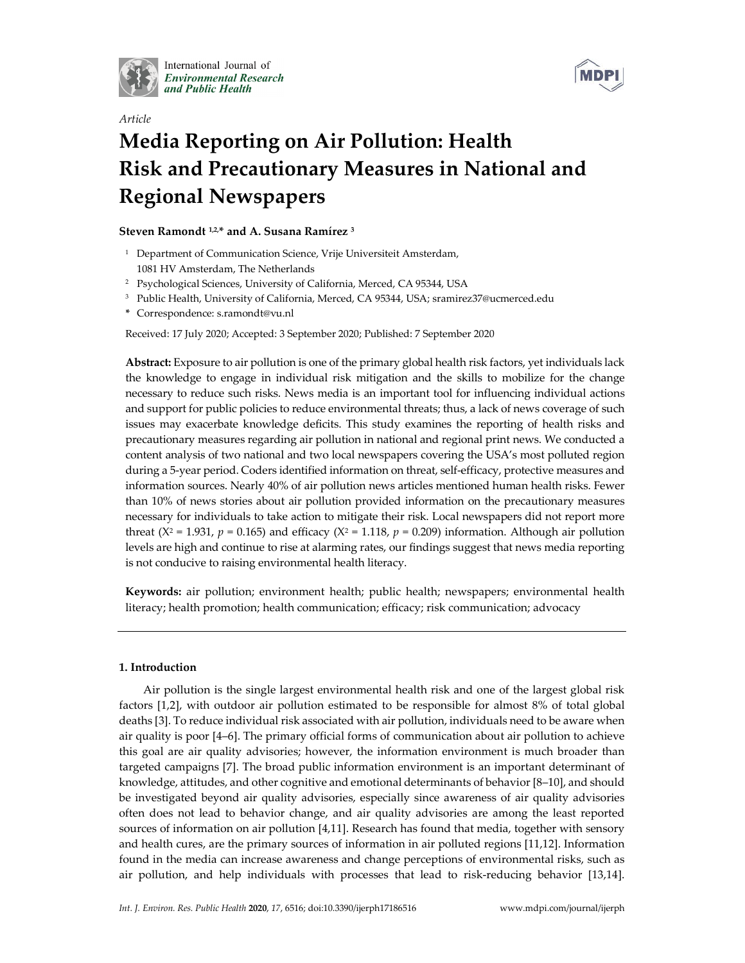

International Journal of **Environmental Research** and Public Health



# *Article* **Media Reporting on Air Pollution: Health Risk and Precautionary Measures in National and Regional Newspapers**

**Steven Ramondt 1,2, \* and A. Susana Ramírez <sup>3</sup>**

- <sup>1</sup> Department of Communication Science, Vrije Universiteit Amsterdam, 1081 HV Amsterdam, The Netherlands
- <sup>2</sup> Psychological Sciences, University of California, Merced, CA 95344, USA
- <sup>3</sup> Public Health, University of California, Merced, CA 95344, USA; sramirez37@ucmerced.edu
- **\*** Correspondence: s.ramondt@vu.nl

Received: 17 July 2020; Accepted: 3 September 2020; Published: 7 September 2020

**Abstract:** Exposure to air pollution is one of the primary global health risk factors, yet individuals lack the knowledge to engage in individual risk mitigation and the skills to mobilize for the change necessary to reduce such risks. News media is an important tool for influencing individual actions and support for public policies to reduce environmental threats; thus, a lack of news coverage of such issues may exacerbate knowledge deficits. This study examines the reporting of health risks and precautionary measures regarding air pollution in national and regional print news. We conducted a content analysis of two national and two local newspapers covering the USA's most polluted region during a 5-year period. Coders identified information on threat, self-efficacy, protective measures and information sources. Nearly 40% of air pollution news articles mentioned human health risks. Fewer than 10% of news stories about air pollution provided information on the precautionary measures necessary for individuals to take action to mitigate their risk. Local newspapers did not report more threat ( $X^2 = 1.931$ ,  $p = 0.165$ ) and efficacy ( $X^2 = 1.118$ ,  $p = 0.209$ ) information. Although air pollution levels are high and continue to rise at alarming rates, our findings suggest that news media reporting is not conducive to raising environmental health literacy.

**Keywords:** air pollution; environment health; public health; newspapers; environmental health literacy; health promotion; health communication; efficacy; risk communication; advocacy

# **1. Introduction**

Air pollution is the single largest environmental health risk and one of the largest global risk factors [1,2], with outdoor air pollution estimated to be responsible for almost 8% of total global deaths [3]. To reduce individual risk associated with air pollution, individuals need to be aware when air quality is poor [4–6]. The primary official forms of communication about air pollution to achieve this goal are air quality advisories; however, the information environment is much broader than targeted campaigns [7]. The broad public information environment is an important determinant of knowledge, attitudes, and other cognitive and emotional determinants of behavior [8–10], and should be investigated beyond air quality advisories, especially since awareness of air quality advisories often does not lead to behavior change, and air quality advisories are among the least reported sources of information on air pollution [4,11]. Research has found that media, together with sensory and health cures, are the primary sources of information in air polluted regions [11,12]. Information found in the media can increase awareness and change perceptions of environmental risks, such as air pollution, and help individuals with processes that lead to risk-reducing behavior [13,14].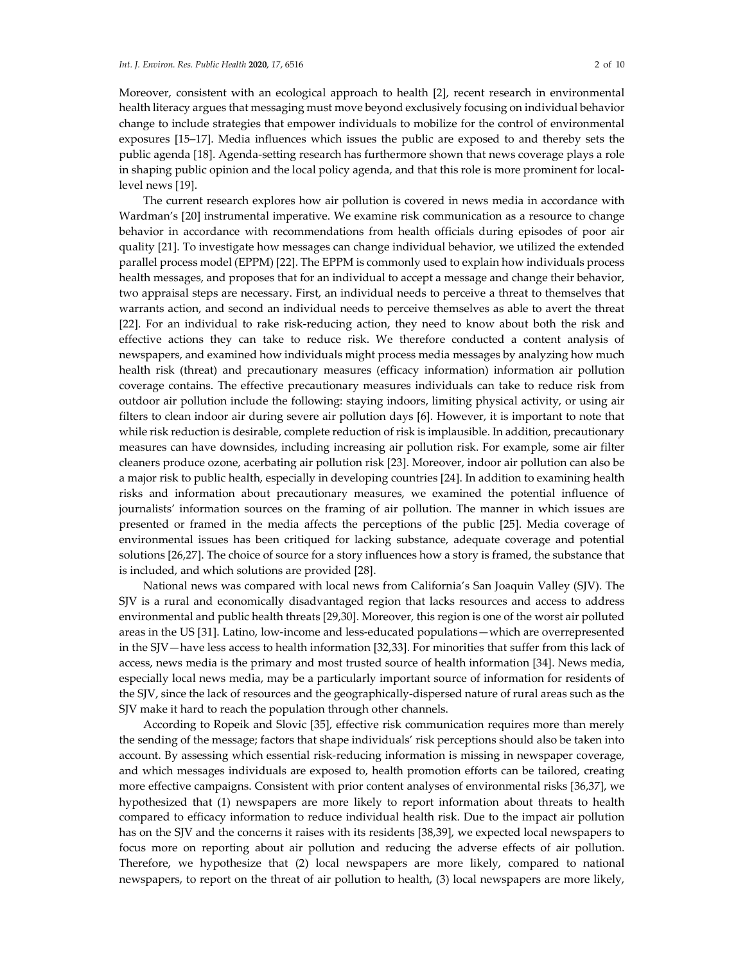Moreover, consistent with an ecological approach to health [2], recent research in environmental health literacy argues that messaging must move beyond exclusively focusing on individual behavior change to include strategies that empower individuals to mobilize for the control of environmental exposures [15–17]. Media influences which issues the public are exposed to and thereby sets the public agenda [18]. Agenda-setting research has furthermore shown that news coverage plays a role in shaping public opinion and the local policy agenda, and that this role is more prominent for locallevel news [19].

The current research explores how air pollution is covered in news media in accordance with Wardman's [20] instrumental imperative. We examine risk communication as a resource to change behavior in accordance with recommendations from health officials during episodes of poor air quality [21]. To investigate how messages can change individual behavior, we utilized the extended parallel process model (EPPM) [22]. The EPPM is commonly used to explain how individuals process health messages, and proposes that for an individual to accept a message and change their behavior, two appraisal steps are necessary. First, an individual needs to perceive a threat to themselves that warrants action, and second an individual needs to perceive themselves as able to avert the threat [22]. For an individual to rake risk-reducing action, they need to know about both the risk and effective actions they can take to reduce risk. We therefore conducted a content analysis of newspapers, and examined how individuals might process media messages by analyzing how much health risk (threat) and precautionary measures (efficacy information) information air pollution coverage contains. The effective precautionary measures individuals can take to reduce risk from outdoor air pollution include the following: staying indoors, limiting physical activity, or using air filters to clean indoor air during severe air pollution days [6]. However, it is important to note that while risk reduction is desirable, complete reduction of risk is implausible. In addition, precautionary measures can have downsides, including increasing air pollution risk. For example, some air filter cleaners produce ozone, acerbating air pollution risk [23]. Moreover, indoor air pollution can also be a major risk to public health, especially in developing countries [24]. In addition to examining health risks and information about precautionary measures, we examined the potential influence of journalists' information sources on the framing of air pollution. The manner in which issues are presented or framed in the media affects the perceptions of the public [25]. Media coverage of environmental issues has been critiqued for lacking substance, adequate coverage and potential solutions [26,27]. The choice of source for a story influences how a story is framed, the substance that is included, and which solutions are provided [28].

National news was compared with local news from California's San Joaquin Valley (SJV). The SJV is a rural and economically disadvantaged region that lacks resources and access to address environmental and public health threats [29,30]. Moreover, this region is one of the worst air polluted areas in the US [31]. Latino, low-income and less-educated populations—which are overrepresented in the SJV—have less access to health information [32,33]. For minorities that suffer from this lack of access, news media is the primary and most trusted source of health information [34]. News media, especially local news media, may be a particularly important source of information for residents of the SJV, since the lack of resources and the geographically-dispersed nature of rural areas such as the SJV make it hard to reach the population through other channels.

According to Ropeik and Slovic [35], effective risk communication requires more than merely the sending of the message; factors that shape individuals' risk perceptions should also be taken into account. By assessing which essential risk-reducing information is missing in newspaper coverage, and which messages individuals are exposed to, health promotion efforts can be tailored, creating more effective campaigns. Consistent with prior content analyses of environmental risks [36,37], we hypothesized that (1) newspapers are more likely to report information about threats to health compared to efficacy information to reduce individual health risk. Due to the impact air pollution has on the SJV and the concerns it raises with its residents [38,39], we expected local newspapers to focus more on reporting about air pollution and reducing the adverse effects of air pollution. Therefore, we hypothesize that (2) local newspapers are more likely, compared to national newspapers, to report on the threat of air pollution to health, (3) local newspapers are more likely,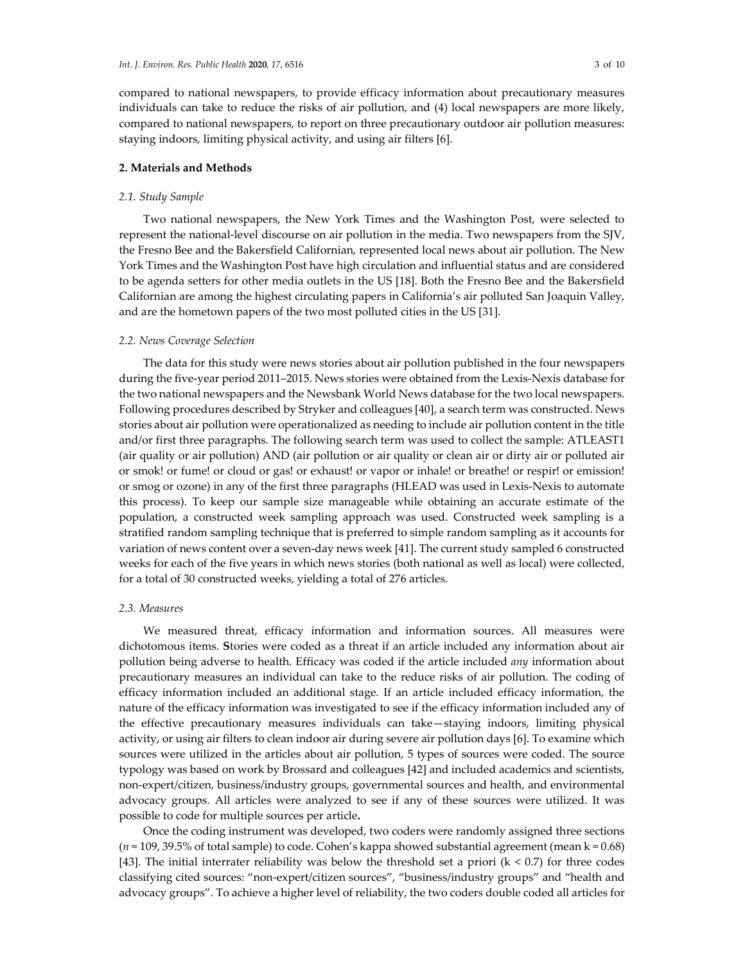compared to national newspapers, to provide efficacy information about precautionary measures individuals can take to reduce the risks of air pollution, and (4) local newspapers are more likely, compared to national newspapers, to report on three precautionary outdoor air pollution measures: staying indoors, limiting physical activity, and using air filters [6].

# **2. Materials and Methods**

#### *2.1. Study Sample*

Two national newspapers, the New York Times and the Washington Post, were selected to represent the national-level discourse on air pollution in the media. Two newspapers from the SJV, the Fresno Bee and the Bakersfield Californian, represented local news about air pollution. The New York Times and the Washington Post have high circulation and influential status and are considered to be agenda setters for other media outlets in the US [18]. Both the Fresno Bee and the Bakersfield Californian are among the highest circulating papers in California's air polluted San Joaquin Valley, and are the hometown papers of the two most polluted cities in the US [31].

# *2.2. News Coverage Selection*

The data for this study were news stories about air pollution published in the four newspapers during the five-year period 2011–2015. News stories were obtained from the Lexis-Nexis database for the two national newspapers and the Newsbank World News database for the two local newspapers. Following procedures described by Stryker and colleagues [40], a search term was constructed. News stories about air pollution were operationalized as needing to include air pollution content in the title and/or first three paragraphs. The following search term was used to collect the sample: ATLEAST1 (air quality or air pollution) AND (air pollution or air quality or clean air or dirty air or polluted air or smok! or fume! or cloud or gas! or exhaust! or vapor or inhale! or breathe! or respir! or emission! or smog or ozone) in any of the first three paragraphs (HLEAD was used in Lexis-Nexis to automate this process). To keep our sample size manageable while obtaining an accurate estimate of the population, a constructed week sampling approach was used. Constructed week sampling is a stratified random sampling technique that is preferred to simple random sampling as it accounts for variation of news content over a seven-day news week [41]. The current study sampled 6 constructed weeks for each of the five years in which news stories (both national as well as local) were collected, for a total of 30 constructed weeks, yielding a total of 276 articles.

## *2.3. Measures*

We measured threat, efficacy information and information sources. All measures were dichotomous items. **S**tories were coded as a threat if an article included any information about air pollution being adverse to health. Efficacy was coded if the article included *any* information about precautionary measures an individual can take to the reduce risks of air pollution. The coding of efficacy information included an additional stage. If an article included efficacy information, the nature of the efficacy information was investigated to see if the efficacy information included any of the effective precautionary measures individuals can take—staying indoors, limiting physical activity, or using air filters to clean indoor air during severe air pollution days [6]. To examine which sources were utilized in the articles about air pollution, 5 types of sources were coded. The source typology was based on work by Brossard and colleagues [42] and included academics and scientists, non-expert/citizen, business/industry groups, governmental sources and health, and environmental advocacy groups. All articles were analyzed to see if any of these sources were utilized. It was possible to code for multiple sources per article**.**

Once the coding instrument was developed, two coders were randomly assigned three sections (*n* = 109, 39.5% of total sample) to code. Cohen's kappa showed substantial agreement (mean k = 0.68) [43]. The initial interrater reliability was below the threshold set a priori  $(k < 0.7)$  for three codes classifying cited sources: "non-expert/citizen sources", "business/industry groups" and "health and advocacy groups". To achieve a higher level of reliability, the two coders double coded all articles for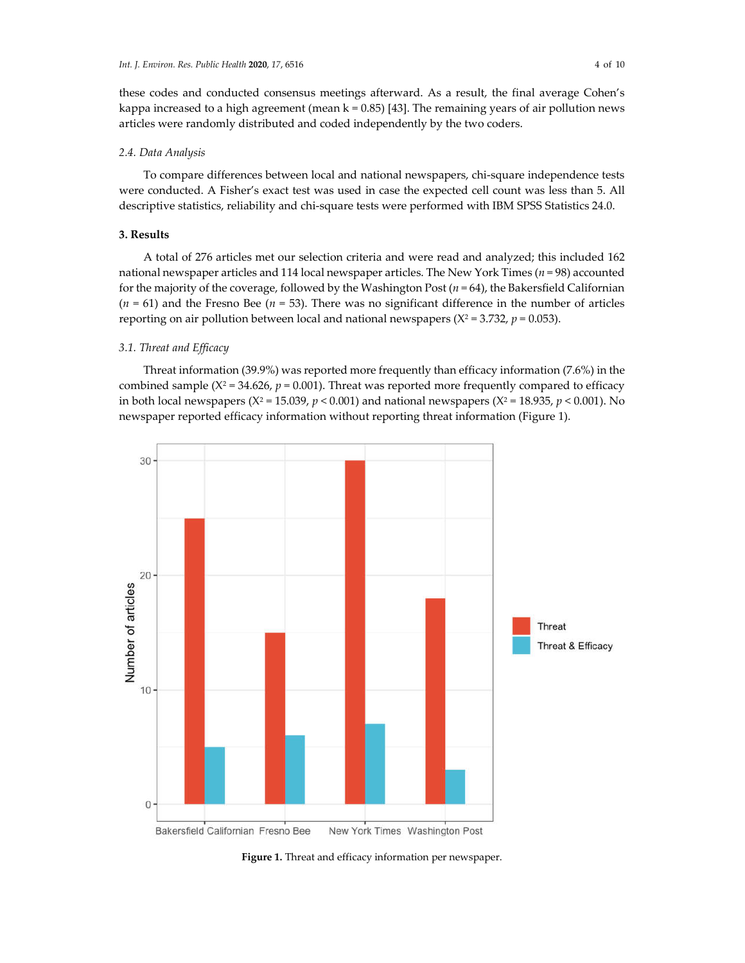these codes and conducted consensus meetings afterward. As a result, the final average Cohen's kappa increased to a high agreement (mean  $k = 0.85$ ) [43]. The remaining years of air pollution news articles were randomly distributed and coded independently by the two coders.

## *2.4. Data Analysis*

To compare differences between local and national newspapers, chi-square independence tests were conducted. A Fisher's exact test was used in case the expected cell count was less than 5. All descriptive statistics, reliability and chi-square tests were performed with IBM SPSS Statistics 24.0.

# **3. Results**

A total of 276 articles met our selection criteria and were read and analyzed; this included 162 national newspaper articles and 114 local newspaper articles. The New York Times ( $n = 98$ ) accounted for the majority of the coverage, followed by the Washington Post ( $n = 64$ ), the Bakersfield Californian  $(n = 61)$  and the Fresno Bee  $(n = 53)$ . There was no significant difference in the number of articles reporting on air pollution between local and national newspapers ( $X^2 = 3.732$ ,  $p = 0.053$ ).

# *3.1. Threat and Efficacy*

Threat information (39.9%) was reported more frequently than efficacy information (7.6%) in the combined sample (X<sup>2</sup> = 34.626, *p* = 0.001). Threat was reported more frequently compared to efficacy in both local newspapers (*Χ*<sup>2</sup> = 15.039, *p* < 0.001) and national newspapers (*Χ*<sup>2</sup> = 18.935, *p* < 0.001). No newspaper reported efficacy information without reporting threat information (Figure 1).



**Figure 1.** Threat and efficacy information per newspaper.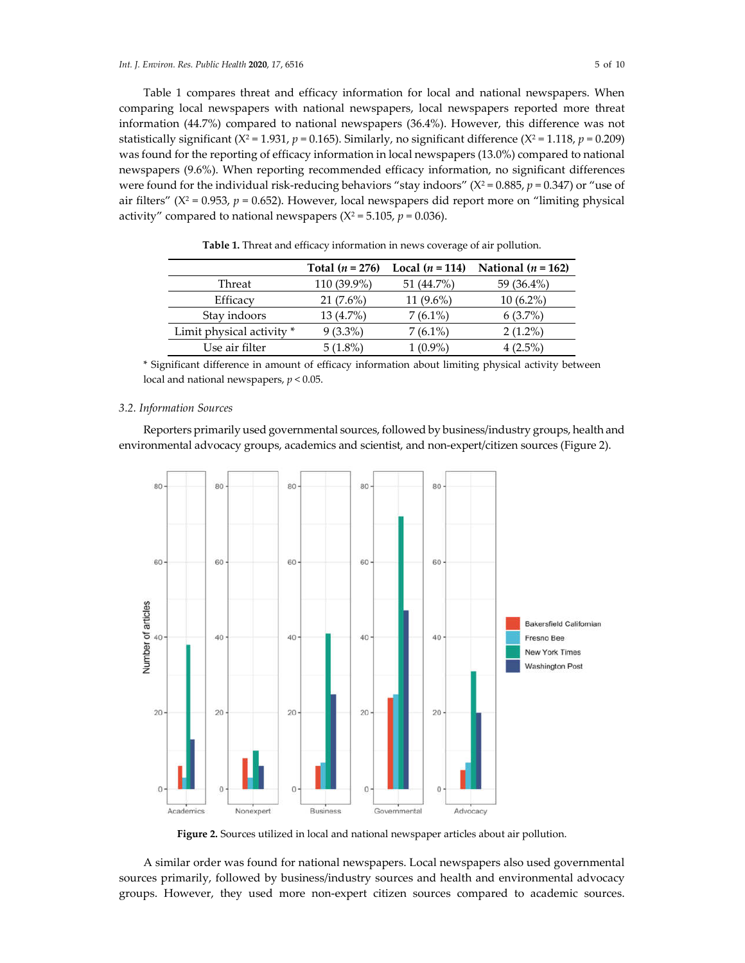Table 1 compares threat and efficacy information for local and national newspapers. When comparing local newspapers with national newspapers, local newspapers reported more threat information (44.7%) compared to national newspapers (36.4%). However, this difference was not statistically significant ( $X^2 = 1.931$ ,  $p = 0.165$ ). Similarly, no significant difference ( $X^2 = 1.118$ ,  $p = 0.209$ ) was found for the reporting of efficacy information in local newspapers (13.0%) compared to national newspapers (9.6%). When reporting recommended efficacy information, no significant differences were found for the individual risk-reducing behaviors "stay indoors" (X<sup>2</sup> = 0.885, *p* = 0.347) or "use of air filters" ( $X^2 = 0.953$ ,  $p = 0.652$ ). However, local newspapers did report more on "limiting physical activity" compared to national newspapers ( $X^2 = 5.105$ ,  $p = 0.036$ ).

|                           | Total $(n = 276)$ | Local $(n = 114)$ | National ( $n = 162$ ) |
|---------------------------|-------------------|-------------------|------------------------|
| Threat                    | 110 (39.9%)       | 51 (44.7%)        | 59 (36.4%)             |
| Efficacy                  | $21(7.6\%)$       | $11(9.6\%)$       | $10(6.2\%)$            |
| Stay indoors              | 13 (4.7%)         | $7(6.1\%)$        | $6(3.7\%)$             |
| Limit physical activity * | $9(3.3\%)$        | $7(6.1\%)$        | $2(1.2\%)$             |
| Use air filter            | $5(1.8\%)$        | $1(0.9\%)$        | $4(2.5\%)$             |

**Table 1.** Threat and efficacy information in news coverage of air pollution.

\* Significant difference in amount of efficacy information about limiting physical activity between local and national newspapers, *p* < 0.05.

## *3.2. Information Sources*

Reporters primarily used governmental sources, followed by business/industry groups, health and environmental advocacy groups, academics and scientist, and non-expert/citizen sources (Figure 2).



**Figure 2.** Sources utilized in local and national newspaper articles about air pollution.

A similar order was found for national newspapers. Local newspapers also used governmental sources primarily, followed by business/industry sources and health and environmental advocacy groups. However, they used more non-expert citizen sources compared to academic sources.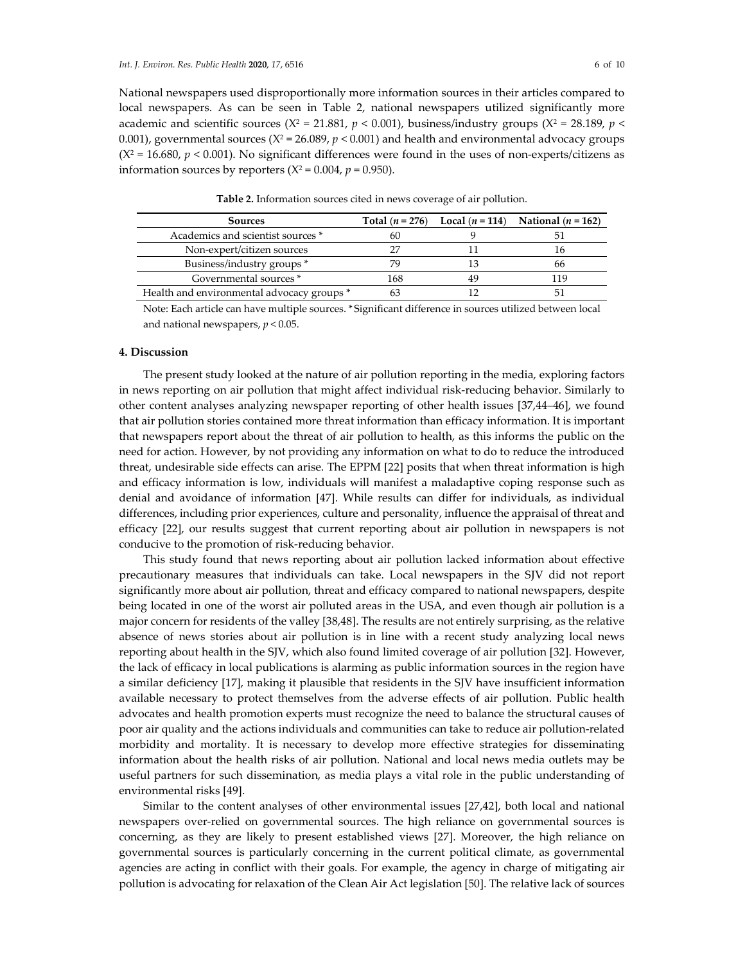National newspapers used disproportionally more information sources in their articles compared to local newspapers. As can be seen in Table 2, national newspapers utilized significantly more academic and scientific sources ( $X^2 = 21.881$ ,  $p < 0.001$ ), business/industry groups ( $X^2 = 28.189$ ,  $p <$ 0.001), governmental sources ( $X^2 = 26.089$ ,  $p < 0.001$ ) and health and environmental advocacy groups  $(X^2 = 16.680, p < 0.001)$ . No significant differences were found in the uses of non-experts/citizens as information sources by reporters ( $X^2 = 0.004$ ,  $p = 0.950$ ).

| Sources                                    | Total $(n = 276)$ | <b>Local</b> $(n = 114)$ | National ( $n = 162$ ) |
|--------------------------------------------|-------------------|--------------------------|------------------------|
| Academics and scientist sources *          | 60                |                          |                        |
| Non-expert/citizen sources                 |                   |                          |                        |
| Business/industry groups *                 | 70                |                          | hh                     |
| Governmental sources *                     | 168               |                          | 11 Q                   |
| Health and environmental advocacy groups * |                   |                          |                        |

**Table 2.** Information sources cited in news coverage of air pollution.

Note: Each article can have multiple sources. \* Significant difference in sources utilized between local and national newspapers, *p* < 0.05.

## **4. Discussion**

The present study looked at the nature of air pollution reporting in the media, exploring factors in news reporting on air pollution that might affect individual risk-reducing behavior. Similarly to other content analyses analyzing newspaper reporting of other health issues [37,44–46], we found that air pollution stories contained more threat information than efficacy information. It is important that newspapers report about the threat of air pollution to health, as this informs the public on the need for action. However, by not providing any information on what to do to reduce the introduced threat, undesirable side effects can arise. The EPPM [22] posits that when threat information is high and efficacy information is low, individuals will manifest a maladaptive coping response such as denial and avoidance of information [47]. While results can differ for individuals, as individual differences, including prior experiences, culture and personality, influence the appraisal of threat and efficacy [22], our results suggest that current reporting about air pollution in newspapers is not conducive to the promotion of risk-reducing behavior.

This study found that news reporting about air pollution lacked information about effective precautionary measures that individuals can take. Local newspapers in the SJV did not report significantly more about air pollution, threat and efficacy compared to national newspapers, despite being located in one of the worst air polluted areas in the USA, and even though air pollution is a major concern for residents of the valley [38,48]. The results are not entirely surprising, as the relative absence of news stories about air pollution is in line with a recent study analyzing local news reporting about health in the SJV, which also found limited coverage of air pollution [32]. However, the lack of efficacy in local publications is alarming as public information sources in the region have a similar deficiency [17], making it plausible that residents in the SJV have insufficient information available necessary to protect themselves from the adverse effects of air pollution. Public health advocates and health promotion experts must recognize the need to balance the structural causes of poor air quality and the actions individuals and communities can take to reduce air pollution-related morbidity and mortality. It is necessary to develop more effective strategies for disseminating information about the health risks of air pollution. National and local news media outlets may be useful partners for such dissemination, as media plays a vital role in the public understanding of environmental risks [49].

Similar to the content analyses of other environmental issues [27,42], both local and national newspapers over-relied on governmental sources. The high reliance on governmental sources is concerning, as they are likely to present established views [27]. Moreover, the high reliance on governmental sources is particularly concerning in the current political climate, as governmental agencies are acting in conflict with their goals. For example, the agency in charge of mitigating air pollution is advocating for relaxation of the Clean Air Act legislation [50]. The relative lack of sources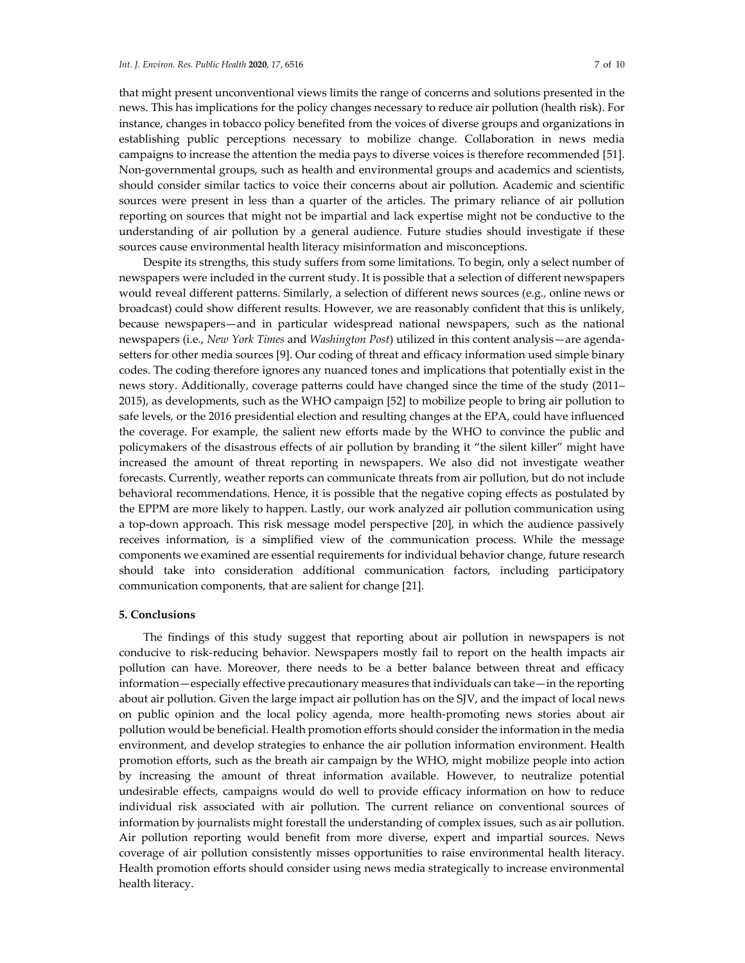that might present unconventional views limits the range of concerns and solutions presented in the news. This has implications for the policy changes necessary to reduce air pollution (health risk). For instance, changes in tobacco policy benefited from the voices of diverse groups and organizations in establishing public perceptions necessary to mobilize change. Collaboration in news media campaigns to increase the attention the media pays to diverse voices is therefore recommended [51]. Non-governmental groups, such as health and environmental groups and academics and scientists, should consider similar tactics to voice their concerns about air pollution. Academic and scientific sources were present in less than a quarter of the articles. The primary reliance of air pollution reporting on sources that might not be impartial and lack expertise might not be conductive to the understanding of air pollution by a general audience. Future studies should investigate if these sources cause environmental health literacy misinformation and misconceptions.

Despite its strengths, this study suffers from some limitations. To begin, only a select number of newspapers were included in the current study. It is possible that a selection of different newspapers would reveal different patterns. Similarly, a selection of different news sources (e.g., online news or broadcast) could show different results. However, we are reasonably confident that this is unlikely, because newspapers—and in particular widespread national newspapers, such as the national newspapers (i.e., *New York Times* and *Washington Post*) utilized in this content analysis—are agendasetters for other media sources [9]. Our coding of threat and efficacy information used simple binary codes. The coding therefore ignores any nuanced tones and implications that potentially exist in the news story. Additionally, coverage patterns could have changed since the time of the study (2011– 2015), as developments, such as the WHO campaign [52] to mobilize people to bring air pollution to safe levels, or the 2016 presidential election and resulting changes at the EPA, could have influenced the coverage. For example, the salient new efforts made by the WHO to convince the public and policymakers of the disastrous effects of air pollution by branding it "the silent killer" might have increased the amount of threat reporting in newspapers. We also did not investigate weather forecasts. Currently, weather reports can communicate threats from air pollution, but do not include behavioral recommendations. Hence, it is possible that the negative coping effects as postulated by the EPPM are more likely to happen. Lastly, our work analyzed air pollution communication using a top-down approach. This risk message model perspective [20], in which the audience passively receives information, is a simplified view of the communication process. While the message components we examined are essential requirements for individual behavior change, future research should take into consideration additional communication factors, including participatory communication components, that are salient for change [21].

#### **5. Conclusions**

The findings of this study suggest that reporting about air pollution in newspapers is not conducive to risk-reducing behavior. Newspapers mostly fail to report on the health impacts air pollution can have. Moreover, there needs to be a better balance between threat and efficacy information—especially effective precautionary measures that individuals can take—in the reporting about air pollution. Given the large impact air pollution has on the SJV, and the impact of local news on public opinion and the local policy agenda, more health-promoting news stories about air pollution would be beneficial. Health promotion efforts should consider the information in the media environment, and develop strategies to enhance the air pollution information environment. Health promotion efforts, such as the breath air campaign by the WHO, might mobilize people into action by increasing the amount of threat information available. However, to neutralize potential undesirable effects, campaigns would do well to provide efficacy information on how to reduce individual risk associated with air pollution. The current reliance on conventional sources of information by journalists might forestall the understanding of complex issues, such as air pollution. Air pollution reporting would benefit from more diverse, expert and impartial sources. News coverage of air pollution consistently misses opportunities to raise environmental health literacy. Health promotion efforts should consider using news media strategically to increase environmental health literacy.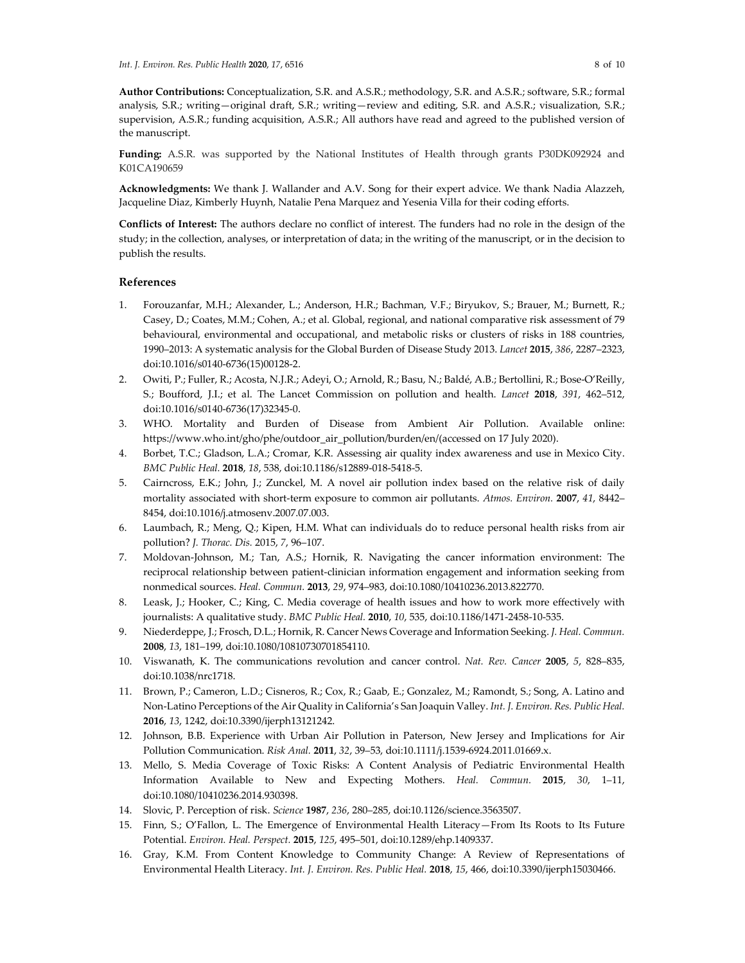**Author Contributions:** Conceptualization, S.R. and A.S.R.; methodology, S.R. and A.S.R.; software, S.R.; formal analysis, S.R.; writing—original draft, S.R.; writing—review and editing, S.R. and A.S.R.; visualization, S.R.; supervision, A.S.R.; funding acquisition, A.S.R.; All authors have read and agreed to the published version of the manuscript.

**Funding:** A.S.R. was supported by the National Institutes of Health through grants P30DK092924 and K01CA190659

**Acknowledgments:** We thank J. Wallander and A.V. Song for their expert advice. We thank Nadia Alazzeh, Jacqueline Diaz, Kimberly Huynh, Natalie Pena Marquez and Yesenia Villa for their coding efforts.

**Conflicts of Interest:** The authors declare no conflict of interest. The funders had no role in the design of the study; in the collection, analyses, or interpretation of data; in the writing of the manuscript, or in the decision to publish the results.

## **References**

- 1. Forouzanfar, M.H.; Alexander, L.; Anderson, H.R.; Bachman, V.F.; Biryukov, S.; Brauer, M.; Burnett, R.; Casey, D.; Coates, M.M.; Cohen, A.; et al. Global, regional, and national comparative risk assessment of 79 behavioural, environmental and occupational, and metabolic risks or clusters of risks in 188 countries, 1990–2013: A systematic analysis for the Global Burden of Disease Study 2013. *Lancet* **2015**, *386*, 2287–2323, doi:10.1016/s0140-6736(15)00128-2.
- 2. Owiti, P.; Fuller, R.; Acosta, N.J.R.; Adeyi, O.; Arnold, R.; Basu, N.; Baldé, A.B.; Bertollini, R.; Bose-O'Reilly, S.; Boufford, J.I.; et al. The Lancet Commission on pollution and health. *Lancet* **2018**, *391*, 462–512, doi:10.1016/s0140-6736(17)32345-0.
- 3. WHO. Mortality and Burden of Disease from Ambient Air Pollution. Available online: https://www.who.int/gho/phe/outdoor\_air\_pollution/burden/en/(accessed on 17 July 2020).
- 4. Borbet, T.C.; Gladson, L.A.; Cromar, K.R. Assessing air quality index awareness and use in Mexico City. *BMC Public Heal.* **2018**, *18*, 538, doi:10.1186/s12889-018-5418-5.
- 5. Cairncross, E.K.; John, J.; Zunckel, M. A novel air pollution index based on the relative risk of daily mortality associated with short-term exposure to common air pollutants. *Atmos. Environ.* **2007**, *41*, 8442– 8454, doi:10.1016/j.atmosenv.2007.07.003.
- 6. Laumbach, R.; Meng, Q.; Kipen, H.M. What can individuals do to reduce personal health risks from air pollution? *J. Thorac. Dis.* 2015, *7*, 96–107.
- 7. Moldovan-Johnson, M.; Tan, A.S.; Hornik, R. Navigating the cancer information environment: The reciprocal relationship between patient-clinician information engagement and information seeking from nonmedical sources. *Heal. Commun.* **2013**, *29*, 974–983, doi:10.1080/10410236.2013.822770.
- 8. Leask, J.; Hooker, C.; King, C. Media coverage of health issues and how to work more effectively with journalists: A qualitative study. *BMC Public Heal.* **2010**, *10*, 535, doi:10.1186/1471-2458-10-535.
- 9. Niederdeppe, J.; Frosch, D.L.; Hornik, R. Cancer News Coverage and Information Seeking. *J. Heal. Commun.* **2008**, *13*, 181–199, doi:10.1080/10810730701854110.
- 10. Viswanath, K. The communications revolution and cancer control. *Nat. Rev. Cancer* **2005**, *5*, 828–835, doi:10.1038/nrc1718.
- 11. Brown, P.; Cameron, L.D.; Cisneros, R.; Cox, R.; Gaab, E.; Gonzalez, M.; Ramondt, S.; Song, A. Latino and Non-Latino Perceptions of the Air Quality in California's San Joaquin Valley. *Int. J. Environ. Res. Public Heal.* **2016**, *13*, 1242, doi:10.3390/ijerph13121242.
- 12. Johnson, B.B. Experience with Urban Air Pollution in Paterson, New Jersey and Implications for Air Pollution Communication. *Risk Anal.* **2011**, *32*, 39–53, doi:10.1111/j.1539-6924.2011.01669.x.
- 13. Mello, S. Media Coverage of Toxic Risks: A Content Analysis of Pediatric Environmental Health Information Available to New and Expecting Mothers. *Heal. Commun.* **2015**, *30*, 1–11, doi:10.1080/10410236.2014.930398.
- 14. Slovic, P. Perception of risk. *Science* **1987**, *236*, 280–285, doi:10.1126/science.3563507.
- 15. Finn, S.; O'Fallon, L. The Emergence of Environmental Health Literacy—From Its Roots to Its Future Potential. *Environ. Heal. Perspect.* **2015**, *125*, 495–501, doi:10.1289/ehp.1409337.
- 16. Gray, K.M. From Content Knowledge to Community Change: A Review of Representations of Environmental Health Literacy. *Int. J. Environ. Res. Public Heal.* **2018**, *15*, 466, doi:10.3390/ijerph15030466.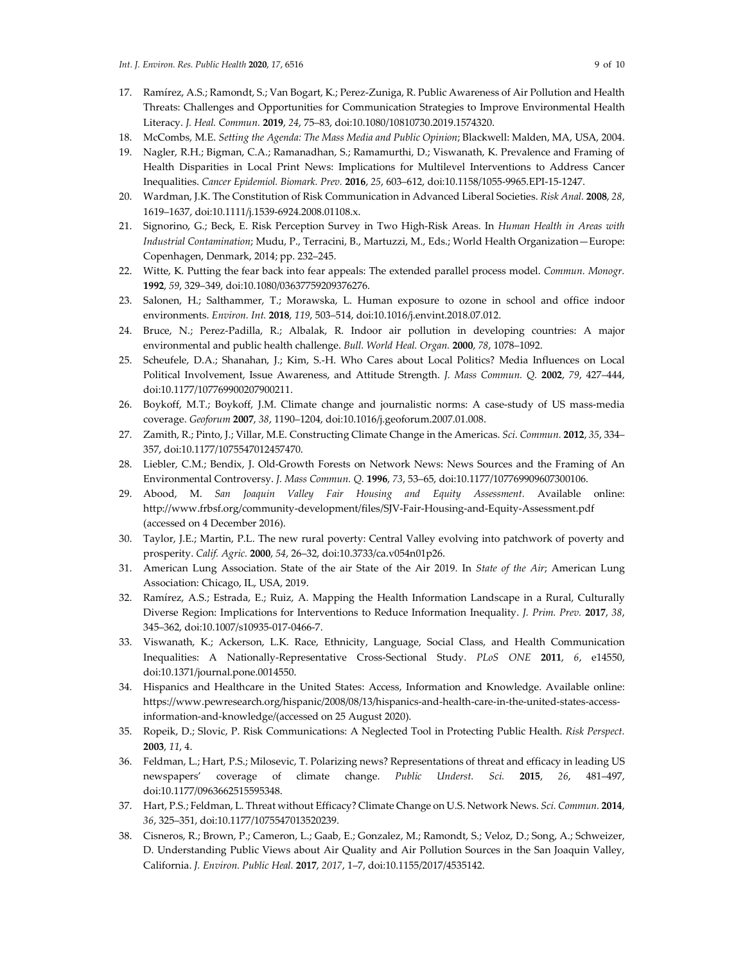- 17. Ramírez, A.S.; Ramondt, S.; Van Bogart, K.; Perez-Zuniga, R. Public Awareness of Air Pollution and Health Threats: Challenges and Opportunities for Communication Strategies to Improve Environmental Health Literacy. *J. Heal. Commun.* **2019**, *24*, 75–83, doi:10.1080/10810730.2019.1574320.
- 18. McCombs, M.E. *Setting the Agenda: The Mass Media and Public Opinion*; Blackwell: Malden, MA, USA, 2004.
- 19. Nagler, R.H.; Bigman, C.A.; Ramanadhan, S.; Ramamurthi, D.; Viswanath, K. Prevalence and Framing of Health Disparities in Local Print News: Implications for Multilevel Interventions to Address Cancer Inequalities. *Cancer Epidemiol. Biomark. Prev.* **2016**, *25*, 603–612, doi:10.1158/1055-9965.EPI-15-1247.
- 20. Wardman, J.K. The Constitution of Risk Communication in Advanced Liberal Societies. *Risk Anal.* **2008**, *28*, 1619–1637, doi:10.1111/j.1539-6924.2008.01108.x.
- 21. Signorino, G.; Beck, E. Risk Perception Survey in Two High-Risk Areas. In *Human Health in Areas with Industrial Contamination*; Mudu, P., Terracini, B., Martuzzi, M., Eds.; World Health Organization—Europe: Copenhagen, Denmark, 2014; pp. 232–245.
- 22. Witte, K. Putting the fear back into fear appeals: The extended parallel process model. *Commun. Monogr.* **1992**, *59*, 329–349, doi:10.1080/03637759209376276.
- 23. Salonen, H.; Salthammer, T.; Morawska, L. Human exposure to ozone in school and office indoor environments. *Environ. Int.* **2018**, *119*, 503–514, doi:10.1016/j.envint.2018.07.012.
- 24. Bruce, N.; Perez-Padilla, R.; Albalak, R. Indoor air pollution in developing countries: A major environmental and public health challenge. *Bull. World Heal. Organ.* **2000**, *78*, 1078–1092.
- 25. Scheufele, D.A.; Shanahan, J.; Kim, S.-H. Who Cares about Local Politics? Media Influences on Local Political Involvement, Issue Awareness, and Attitude Strength. *J. Mass Commun. Q.* **2002**, *79*, 427–444, doi:10.1177/107769900207900211.
- 26. Boykoff, M.T.; Boykoff, J.M. Climate change and journalistic norms: A case-study of US mass-media coverage. *Geoforum* **2007**, *38*, 1190–1204, doi:10.1016/j.geoforum.2007.01.008.
- 27. Zamith, R.; Pinto, J.; Villar, M.E. Constructing Climate Change in the Americas. *Sci. Commun.* **2012**, *35*, 334– 357, doi:10.1177/1075547012457470.
- 28. Liebler, C.M.; Bendix, J. Old-Growth Forests on Network News: News Sources and the Framing of An Environmental Controversy. *J. Mass Commun. Q.* **1996**, *73*, 53–65, doi:10.1177/107769909607300106.
- 29. Abood, M. *San Joaquin Valley Fair Housing and Equity Assessment.* Available online: http://www.frbsf.org/community-development/files/SJV-Fair-Housing-and-Equity-Assessment.pdf (accessed on 4 December 2016).
- 30. Taylor, J.E.; Martin, P.L. The new rural poverty: Central Valley evolving into patchwork of poverty and prosperity. *Calif. Agric.* **2000**, *54*, 26–32, doi:10.3733/ca.v054n01p26.
- 31. American Lung Association. State of the air State of the Air 2019. In *State of the Air*; American Lung Association: Chicago, IL, USA, 2019.
- 32. Ramírez, A.S.; Estrada, E.; Ruiz, A. Mapping the Health Information Landscape in a Rural, Culturally Diverse Region: Implications for Interventions to Reduce Information Inequality. *J. Prim. Prev.* **2017**, *38*, 345–362, doi:10.1007/s10935-017-0466-7.
- 33. Viswanath, K.; Ackerson, L.K. Race, Ethnicity, Language, Social Class, and Health Communication Inequalities: A Nationally-Representative Cross-Sectional Study. *PLoS ONE* **2011**, *6*, e14550, doi:10.1371/journal.pone.0014550.
- 34. Hispanics and Healthcare in the United States: Access, Information and Knowledge. Available online: https://www.pewresearch.org/hispanic/2008/08/13/hispanics-and-health-care-in-the-united-states-accessinformation-and-knowledge/(accessed on 25 August 2020).
- 35. Ropeik, D.; Slovic, P. Risk Communications: A Neglected Tool in Protecting Public Health. *Risk Perspect.* **2003**, *11*, 4.
- 36. Feldman, L.; Hart, P.S.; Milosevic, T. Polarizing news? Representations of threat and efficacy in leading US newspapers' coverage of climate change. *Public Underst. Sci.* **2015**, *26*, 481–497, doi:10.1177/0963662515595348.
- 37. Hart, P.S.; Feldman, L. Threat without Efficacy? Climate Change on U.S. Network News. *Sci. Commun.* **2014**, *36*, 325–351, doi:10.1177/1075547013520239.
- 38. Cisneros, R.; Brown, P.; Cameron, L.; Gaab, E.; Gonzalez, M.; Ramondt, S.; Veloz, D.; Song, A.; Schweizer, D. Understanding Public Views about Air Quality and Air Pollution Sources in the San Joaquin Valley, California. *J. Environ. Public Heal.* **2017**, *2017*, 1–7, doi:10.1155/2017/4535142.